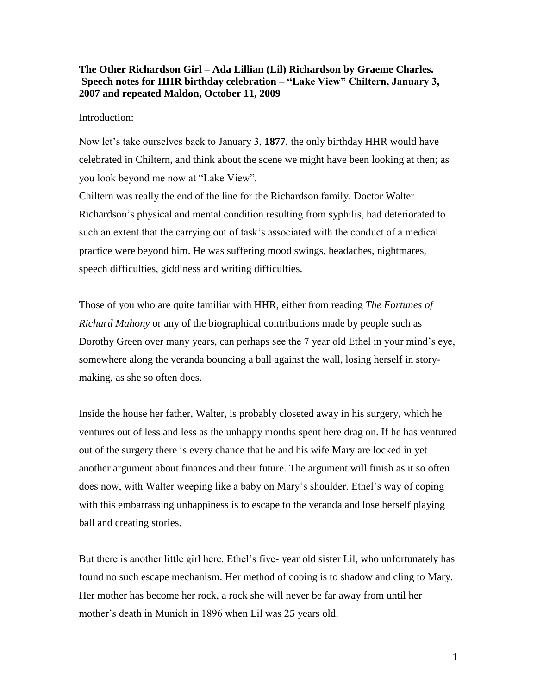# **The Other Richardson Girl – Ada Lillian (Lil) Richardson by Graeme Charles. Speech notes for HHR birthday celebration – "Lake View" Chiltern, January 3, 2007 and repeated Maldon, October 11, 2009**

## Introduction:

Now let's take ourselves back to January 3, **1877**, the only birthday HHR would have celebrated in Chiltern, and think about the scene we might have been looking at then; as you look beyond me now at "Lake View".

Chiltern was really the end of the line for the Richardson family. Doctor Walter Richardson's physical and mental condition resulting from syphilis, had deteriorated to such an extent that the carrying out of task's associated with the conduct of a medical practice were beyond him. He was suffering mood swings, headaches, nightmares, speech difficulties, giddiness and writing difficulties.

Those of you who are quite familiar with HHR, either from reading *The Fortunes of Richard Mahony* or any of the biographical contributions made by people such as Dorothy Green over many years, can perhaps see the 7 year old Ethel in your mind's eye, somewhere along the veranda bouncing a ball against the wall, losing herself in storymaking, as she so often does.

Inside the house her father, Walter, is probably closeted away in his surgery, which he ventures out of less and less as the unhappy months spent here drag on. If he has ventured out of the surgery there is every chance that he and his wife Mary are locked in yet another argument about finances and their future. The argument will finish as it so often does now, with Walter weeping like a baby on Mary's shoulder. Ethel's way of coping with this embarrassing unhappiness is to escape to the veranda and lose herself playing ball and creating stories.

But there is another little girl here. Ethel's five- year old sister Lil, who unfortunately has found no such escape mechanism. Her method of coping is to shadow and cling to Mary. Her mother has become her rock, a rock she will never be far away from until her mother's death in Munich in 1896 when Lil was 25 years old.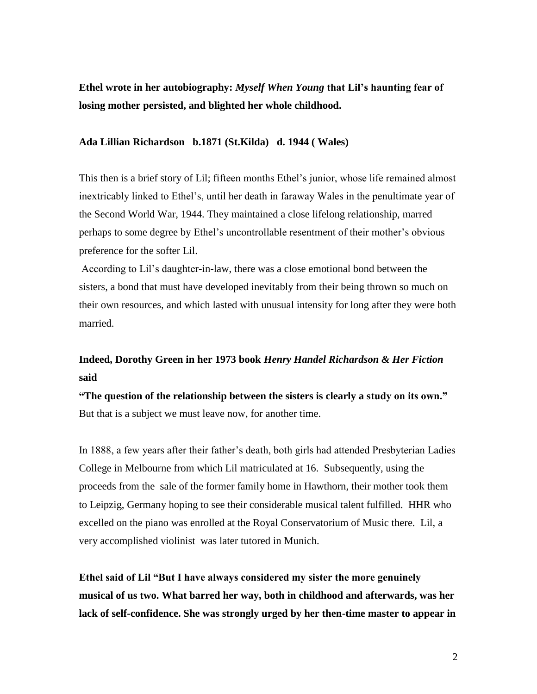**Ethel wrote in her autobiography:** *Myself When Young* **that Lil's haunting fear of losing mother persisted, and blighted her whole childhood.** 

## **Ada Lillian Richardson b.1871 (St.Kilda) d. 1944 ( Wales)**

This then is a brief story of Lil; fifteen months Ethel's junior, whose life remained almost inextricably linked to Ethel's, until her death in faraway Wales in the penultimate year of the Second World War, 1944. They maintained a close lifelong relationship, marred perhaps to some degree by Ethel's uncontrollable resentment of their mother's obvious preference for the softer Lil.

According to Lil's daughter-in-law, there was a close emotional bond between the sisters, a bond that must have developed inevitably from their being thrown so much on their own resources, and which lasted with unusual intensity for long after they were both married.

# **Indeed, Dorothy Green in her 1973 book** *Henry Handel Richardson & Her Fiction* **said**

**"The question of the relationship between the sisters is clearly a study on its own."**  But that is a subject we must leave now, for another time.

In 1888, a few years after their father's death, both girls had attended Presbyterian Ladies College in Melbourne from which Lil matriculated at 16. Subsequently, using the proceeds from the sale of the former family home in Hawthorn, their mother took them to Leipzig, Germany hoping to see their considerable musical talent fulfilled. HHR who excelled on the piano was enrolled at the Royal Conservatorium of Music there. Lil, a very accomplished violinist was later tutored in Munich.

**Ethel said of Lil "But I have always considered my sister the more genuinely musical of us two. What barred her way, both in childhood and afterwards, was her lack of self-confidence. She was strongly urged by her then-time master to appear in**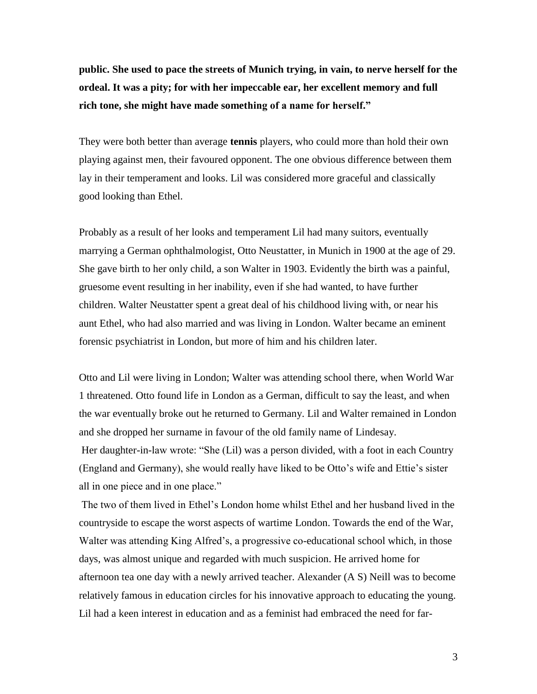**public. She used to pace the streets of Munich trying, in vain, to nerve herself for the ordeal. It was a pity; for with her impeccable ear, her excellent memory and full rich tone, she might have made something of a name for herself."** 

They were both better than average **tennis** players, who could more than hold their own playing against men, their favoured opponent. The one obvious difference between them lay in their temperament and looks. Lil was considered more graceful and classically good looking than Ethel.

Probably as a result of her looks and temperament Lil had many suitors, eventually marrying a German ophthalmologist, Otto Neustatter, in Munich in 1900 at the age of 29. She gave birth to her only child, a son Walter in 1903. Evidently the birth was a painful, gruesome event resulting in her inability, even if she had wanted, to have further children. Walter Neustatter spent a great deal of his childhood living with, or near his aunt Ethel, who had also married and was living in London. Walter became an eminent forensic psychiatrist in London, but more of him and his children later.

Otto and Lil were living in London; Walter was attending school there, when World War 1 threatened. Otto found life in London as a German, difficult to say the least, and when the war eventually broke out he returned to Germany. Lil and Walter remained in London and she dropped her surname in favour of the old family name of Lindesay. Her daughter-in-law wrote: "She (Lil) was a person divided, with a foot in each Country (England and Germany), she would really have liked to be Otto's wife and Ettie's sister

all in one piece and in one place."

The two of them lived in Ethel's London home whilst Ethel and her husband lived in the countryside to escape the worst aspects of wartime London. Towards the end of the War, Walter was attending King Alfred's, a progressive co-educational school which, in those days, was almost unique and regarded with much suspicion. He arrived home for afternoon tea one day with a newly arrived teacher. Alexander (A S) Neill was to become relatively famous in education circles for his innovative approach to educating the young. Lil had a keen interest in education and as a feminist had embraced the need for far-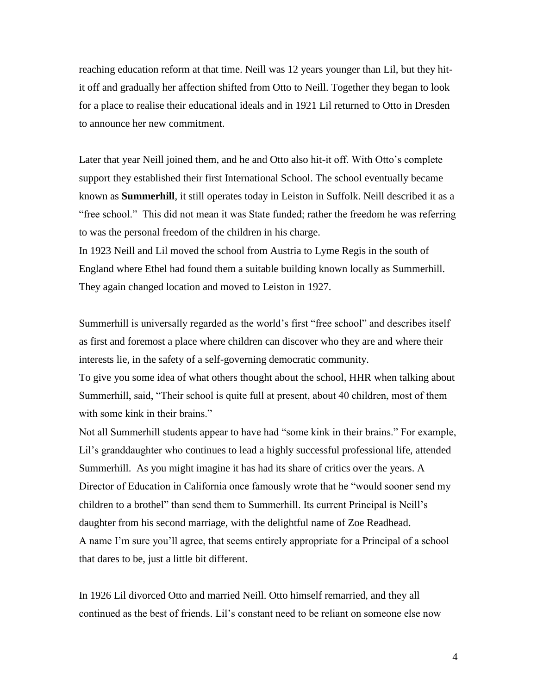reaching education reform at that time. Neill was 12 years younger than Lil, but they hitit off and gradually her affection shifted from Otto to Neill. Together they began to look for a place to realise their educational ideals and in 1921 Lil returned to Otto in Dresden to announce her new commitment.

Later that year Neill joined them, and he and Otto also hit-it off. With Otto's complete support they established their first International School. The school eventually became known as **Summerhill**, it still operates today in Leiston in Suffolk. Neill described it as a "free school." This did not mean it was State funded; rather the freedom he was referring to was the personal freedom of the children in his charge.

In 1923 Neill and Lil moved the school from Austria to Lyme Regis in the south of England where Ethel had found them a suitable building known locally as Summerhill. They again changed location and moved to Leiston in 1927.

Summerhill is universally regarded as the world's first "free school" and describes itself as first and foremost a place where children can discover who they are and where their interests lie, in the safety of a self-governing democratic community.

To give you some idea of what others thought about the school, HHR when talking about Summerhill, said, "Their school is quite full at present, about 40 children, most of them with some kink in their brains."

Not all Summerhill students appear to have had "some kink in their brains." For example, Lil's granddaughter who continues to lead a highly successful professional life, attended Summerhill. As you might imagine it has had its share of critics over the years. A Director of Education in California once famously wrote that he "would sooner send my children to a brothel" than send them to Summerhill. Its current Principal is Neill's daughter from his second marriage, with the delightful name of Zoe Readhead. A name I'm sure you'll agree, that seems entirely appropriate for a Principal of a school that dares to be, just a little bit different.

In 1926 Lil divorced Otto and married Neill. Otto himself remarried, and they all continued as the best of friends. Lil's constant need to be reliant on someone else now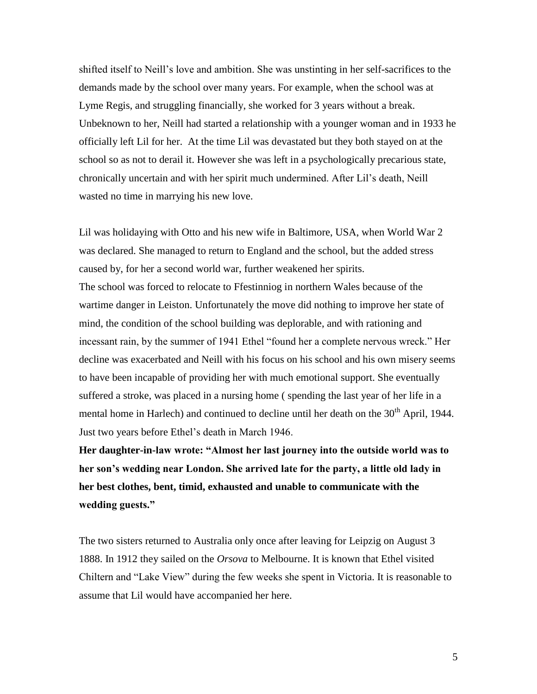shifted itself to Neill's love and ambition. She was unstinting in her self-sacrifices to the demands made by the school over many years. For example, when the school was at Lyme Regis, and struggling financially, she worked for 3 years without a break. Unbeknown to her, Neill had started a relationship with a younger woman and in 1933 he officially left Lil for her. At the time Lil was devastated but they both stayed on at the school so as not to derail it. However she was left in a psychologically precarious state, chronically uncertain and with her spirit much undermined. After Lil's death, Neill wasted no time in marrying his new love.

Lil was holidaying with Otto and his new wife in Baltimore, USA, when World War 2 was declared. She managed to return to England and the school, but the added stress caused by, for her a second world war, further weakened her spirits. The school was forced to relocate to Ffestinniog in northern Wales because of the wartime danger in Leiston. Unfortunately the move did nothing to improve her state of mind, the condition of the school building was deplorable, and with rationing and incessant rain, by the summer of 1941 Ethel "found her a complete nervous wreck." Her decline was exacerbated and Neill with his focus on his school and his own misery seems to have been incapable of providing her with much emotional support. She eventually suffered a stroke, was placed in a nursing home ( spending the last year of her life in a mental home in Harlech) and continued to decline until her death on the  $30<sup>th</sup>$  April, 1944. Just two years before Ethel's death in March 1946.

**Her daughter-in-law wrote: "Almost her last journey into the outside world was to her son's wedding near London. She arrived late for the party, a little old lady in her best clothes, bent, timid, exhausted and unable to communicate with the wedding guests."**

The two sisters returned to Australia only once after leaving for Leipzig on August 3 1888. In 1912 they sailed on the *Orsova* to Melbourne. It is known that Ethel visited Chiltern and "Lake View" during the few weeks she spent in Victoria. It is reasonable to assume that Lil would have accompanied her here.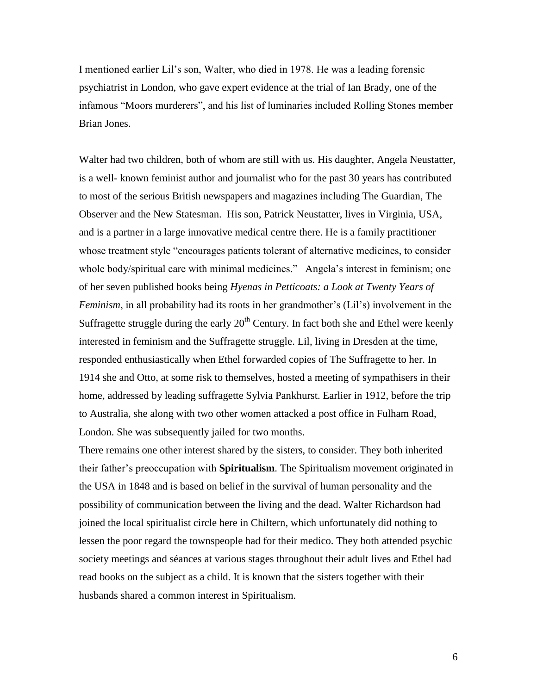I mentioned earlier Lil's son, Walter, who died in 1978. He was a leading forensic psychiatrist in London, who gave expert evidence at the trial of Ian Brady, one of the infamous "Moors murderers", and his list of luminaries included Rolling Stones member Brian Jones.

Walter had two children, both of whom are still with us. His daughter, Angela Neustatter, is a well- known feminist author and journalist who for the past 30 years has contributed to most of the serious British newspapers and magazines including The Guardian, The Observer and the New Statesman. His son, Patrick Neustatter, lives in Virginia, USA, and is a partner in a large innovative medical centre there. He is a family practitioner whose treatment style "encourages patients tolerant of alternative medicines, to consider whole body/spiritual care with minimal medicines." Angela's interest in feminism; one of her seven published books being *Hyenas in Petticoats: a Look at Twenty Years of Feminism*, in all probability had its roots in her grandmother's (Lil's) involvement in the Suffragette struggle during the early  $20<sup>th</sup>$  Century. In fact both she and Ethel were keenly interested in feminism and the Suffragette struggle. Lil, living in Dresden at the time, responded enthusiastically when Ethel forwarded copies of The Suffragette to her. In 1914 she and Otto, at some risk to themselves, hosted a meeting of sympathisers in their home, addressed by leading suffragette Sylvia Pankhurst. Earlier in 1912, before the trip to Australia, she along with two other women attacked a post office in Fulham Road, London. She was subsequently jailed for two months.

There remains one other interest shared by the sisters, to consider. They both inherited their father's preoccupation with **Spiritualism**. The Spiritualism movement originated in the USA in 1848 and is based on belief in the survival of human personality and the possibility of communication between the living and the dead. Walter Richardson had joined the local spiritualist circle here in Chiltern, which unfortunately did nothing to lessen the poor regard the townspeople had for their medico. They both attended psychic society meetings and séances at various stages throughout their adult lives and Ethel had read books on the subject as a child. It is known that the sisters together with their husbands shared a common interest in Spiritualism.